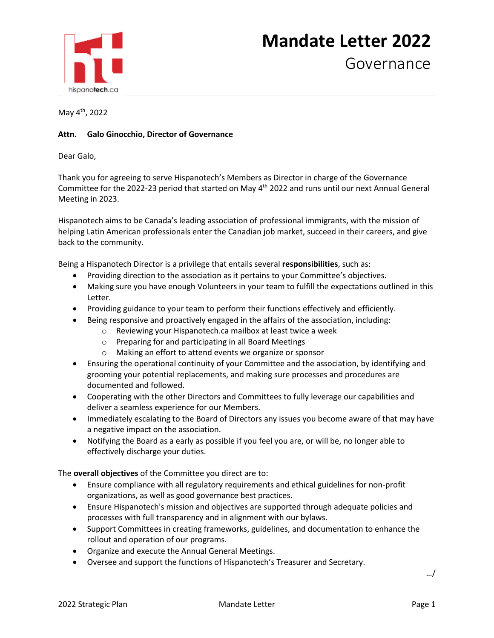## hispanotech.ca

## **Mandate Letter 2022**

Governance

May 4th, 2022

## **Attn. Galo Ginocchio, Director of Governance**

Dear Galo,

Thank you for agreeing to serve Hispanotech's Members as Director in charge of the Governance Committee for the 2022-23 period that started on May 4<sup>th</sup> 2022 and runs until our next Annual General Meeting in 2023.

Hispanotech aims to be Canada's leading association of professional immigrants, with the mission of helping Latin American professionals enter the Canadian job market, succeed in their careers, and give back to the community.

Being a Hispanotech Director is a privilege that entails several **responsibilities**, such as:

- Providing direction to the association as it pertains to your Committee's objectives.
- Making sure you have enough Volunteers in your team to fulfill the expectations outlined in this Letter.
- Providing guidance to your team to perform their functions effectively and efficiently.
- Being responsive and proactively engaged in the affairs of the association, including:
	- o Reviewing your Hispanotech.ca mailbox at least twice a week
	- o Preparing for and participating in all Board Meetings
	- o Making an effort to attend events we organize or sponsor
- Ensuring the operational continuity of your Committee and the association, by identifying and grooming your potential replacements, and making sure processes and procedures are documented and followed.
- Cooperating with the other Directors and Committees to fully leverage our capabilities and deliver a seamless experience for our Members.
- Immediately escalating to the Board of Directors any issues you become aware of that may have a negative impact on the association.
- Notifying the Board as a early as possible if you feel you are, or will be, no longer able to effectively discharge your duties.

The **overall objectives** of the Committee you direct are to:

- Ensure compliance with all regulatory requirements and ethical guidelines for non-profit organizations, as well as good governance best practices.
- Ensure Hispanotech's mission and objectives are supported through adequate policies and processes with full transparency and in alignment with our bylaws.
- Support Committees in creating frameworks, guidelines, and documentation to enhance the rollout and operation of our programs.
- Organize and execute the Annual General Meetings.
- Oversee and support the functions of Hispanotech's Treasurer and Secretary.

…/